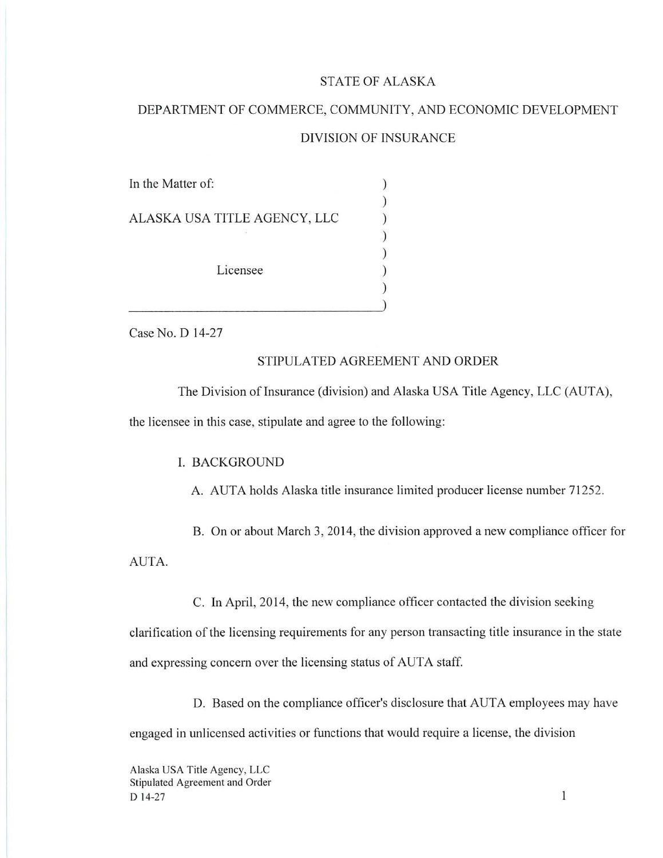#### STATE OF ALASKA

# DEPARTMENT OF COMMERCE, COMMUNITY, AND ECONOMIC DEVELOPMENT DIVISION OF INSURANCE

| In the Matter of:            |  |
|------------------------------|--|
|                              |  |
| ALASKA USA TITLE AGENCY, LLC |  |
| Licensee                     |  |
|                              |  |
|                              |  |
|                              |  |
|                              |  |

Case No. D 14-27

### STIPULATED AGREEMENT AND ORDER

The Division of Insurance (division) and Alaska USA Title Agency, LLC (AUTA), the licensee in this case, stipulate and agree to the following:

#### I. BACKGROUND

A. AUTA holds Alaska title insurance limited producer license number 71252.

B. On or about March 3, 2014, the division approved a new compliance officer for AUTA.

C. In April, 2014, the new compliance officer contacted the division seeking

clarification of the licensing requirements for any person transacting title insurance in the state and expressing concern over the licensing status of AUTA staff.

D. Based on the compliance officer's disclosure that AUTA employees may have engaged in unlicensed activities or functions that would require a license, the division

 $\mathbf{1}$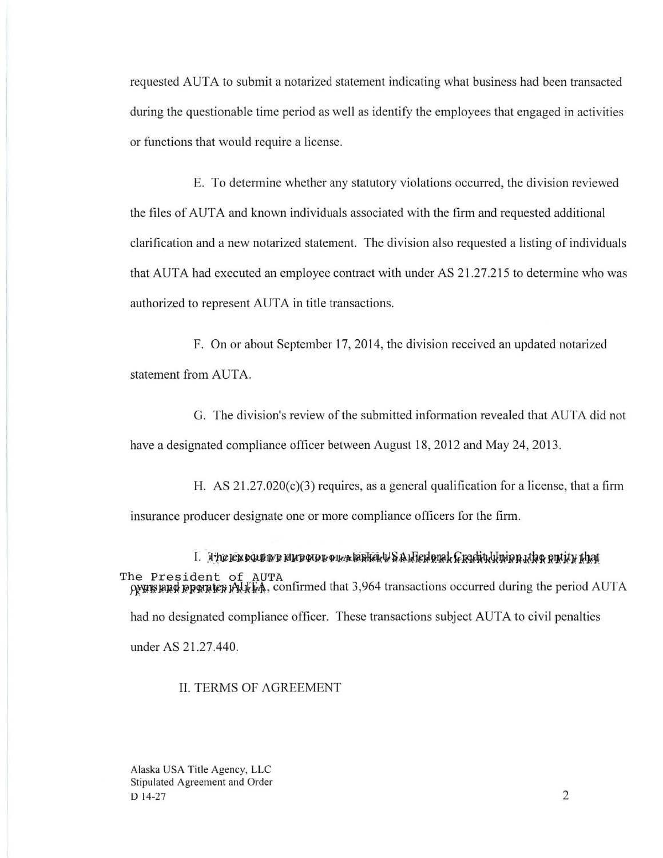requested AUTA to submit a notarized statement indicating what business had been transacted during the questionable time period as well as identify the employees that engaged in activities or functions that would require a license.

E. To determine whether any statutory violations occurred, the division reviewed the files of AUTA and known individuals associated with the firm and requested additional clarification and a new notarized statement. The division also requested a listing of individuals that AUTA had executed an employee contract with under AS 21.27.215 to determine who was authorized to represent AUTA in title transactions.

F. On or about September 17, 2014, the division received an updated notarized statement from AUTA.

G. The division's review of the submitted information revealed that AUTA did not have a designated compliance officer between August 18, 2012 and May 24, 2013.

H. AS  $21.27.020(c)(3)$  requires, as a general qualification for a license, that a firm insurance producer designate one or more compliance officers for the firm.

 $I.$  It is leptographs in poster our product  $\mu$  is a lifed onal. Crachtrix when which we cut it what The President of AUTA  $\rho$  and  $\rho$  is a positive  $\gamma$ .  $\gamma$  and  $\gamma$  and  $\gamma$  and  $\gamma$  is a set of transactions occurred during the period AUTA had no designated compliance officer. These transactions subject AUTA to civil penalties under AS 21.27.440.

#### II. TERMS OF AGREEMENT

Alaska USA Title Agency, LLC Stipulated Agreement and Order  $D$  14-27 2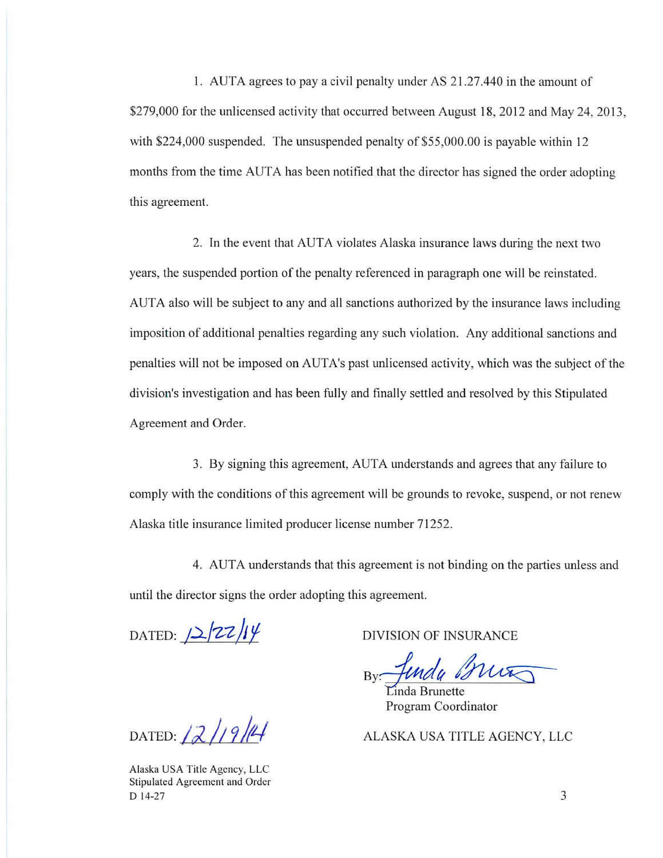1. AUTA agrees to pay a civil penalty under AS 21.27.440 in the amount of \$279,000 for the unlicensed activity that occurred between August 18, 2012 and May 24, 2013, with \$224,000 suspended. The unsuspended penalty of \$55,000.00 is payable within 12 months from the time AUTA has been notified that the director has signed the order adopting this agreement.

2. In the event that AUTA violates Alaska insurance laws during the next two years, the suspended portion of the penalty referenced in paragraph one will be reinstated. AUTA also will be subject to any and all sanctions authorized by the insurance laws including imposition of additional penalties regarding any such violation. Any additional sanctions and penalties will not be imposed on A UT A's past unlicensed activity, which was the subject of the division's investigation and has been fully and finally settled and resolved by this Stipulated Agreement and Order.

3. By signing this agreement, AUTA understands and agrees that any failure to comply with the conditions of this agreement will be grounds to revoke, suspend, or not renew Alaska title insurance limited producer license number 71252.

4. AUTA understands that this agreement is not binding on the parties unless and until the director signs the order adopting this agreement.

 $DATED:  $2\frac{z}{z}$$ 

DIVISION OF INSURANCE

By Junda Brut

Pro gram Coord inator inda Brunette

ALASKA USA TITLE AGENCY, LLC

DATED: 12/19/14

Alaska USA Title Agency, LLC Stipulated Agreement and Order D 14-27